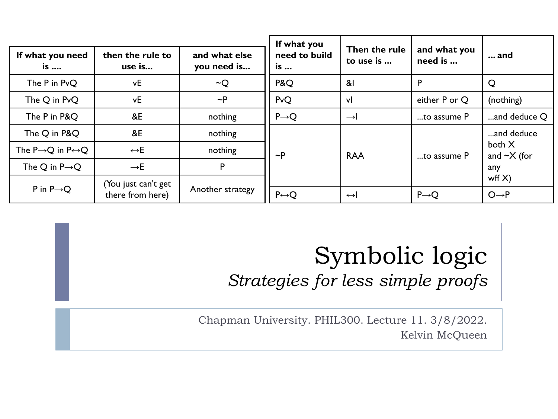|                                                |                                         |                              | If what you           |                            |                         |                                |
|------------------------------------------------|-----------------------------------------|------------------------------|-----------------------|----------------------------|-------------------------|--------------------------------|
| If what you need<br>is                         | then the rule to<br>use is              | and what else<br>you need is | need to build<br>is   | Then the rule<br>to use is | and what you<br>need is | and                            |
| The P in PvQ                                   | vE                                      | $\sim Q$                     | P&Q                   | &।                         | P                       | Q                              |
| The Q in PvQ                                   | vE                                      | $\sim P$                     | PvQ                   | vl                         | either P or Q           | (nothing)                      |
| The P in P&Q                                   | &E                                      | nothing                      | $P\rightarrow Q$      | $\rightarrow$              | to assume P             | and deduce Q                   |
| The Q in P&Q                                   | &E                                      | nothing                      |                       |                            |                         | and deduce                     |
| The P $\rightarrow$ Q in P $\leftrightarrow$ Q | $\leftrightarrow$ E                     | nothing                      | $\sim P$              | <b>RAA</b>                 | to assume P             | both X<br>and $\sim$ X (for    |
| The Q in $P\rightarrow Q$                      | $\rightarrow$ E                         | P                            |                       |                            |                         | any                            |
| P in $P\rightarrow Q$                          | (You just can't get<br>there from here) | Another strategy             | $P \leftrightarrow Q$ | $\leftrightarrow$          | $P\rightarrow Q$        | wff $X$ )<br>$O \rightarrow P$ |

### Symbolic logic *Strategies for less simple proofs*

Chapman University. PHIL300. Lecture 11. 3/8/2022. Kelvin McQueen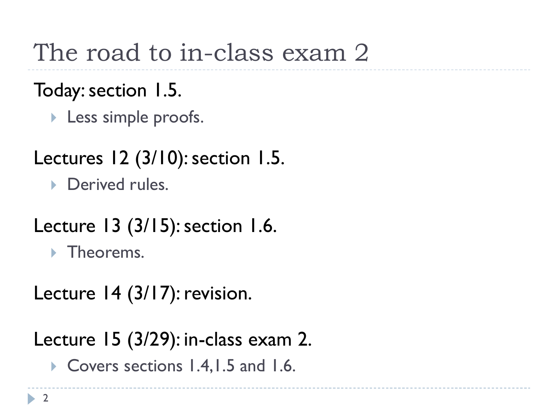The road to in-class exam 2

Today: section 1.5.

Less simple proofs.

Lectures 12 (3/10): section 1.5.

**Derived rules.** 

Lecture 13 (3/15): section 1.6.

**Filte** Theorems.

Lecture 14 (3/17): revision.

Lecture 15 (3/29): in-class exam 2.

▶ Covers sections 1.4, 1.5 and 1.6.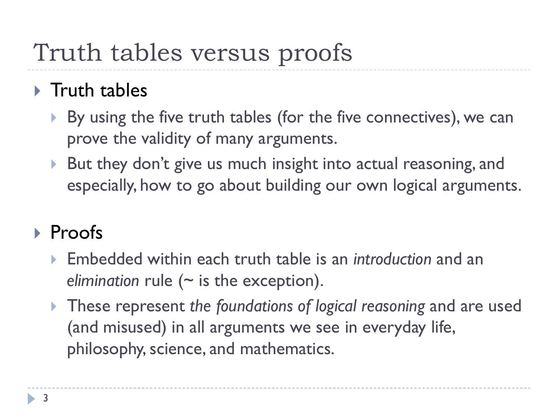## Truth tables versus proofs

### $\triangleright$  Truth tables

- By using the five truth tables (for the five connectives), we can prove the validity of many arguments.
- ▶ But they don't give us much insight into actual reasoning, and especially, how to go about building our own logical arguments.

### Proofs

- Embedded within each truth table is an *introduction* and an *elimination* rule (~ is the exception).
- These represent *the foundations of logical reasoning* and are used (and misused) in all arguments we see in everyday life, philosophy, science, and mathematics.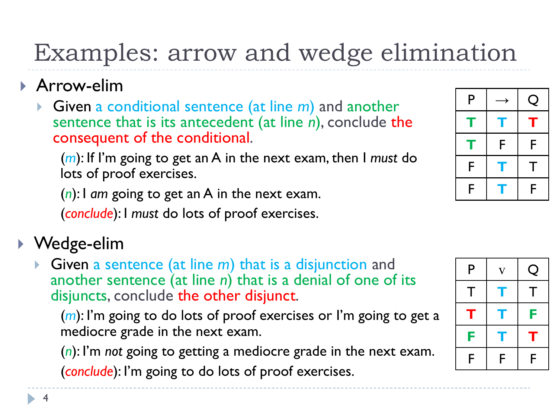### Examples: arrow and wedge elimination

- Arrow-elim
	- Given a conditional sentence (at line *m*) and another sentence that is its antecedent (at line *n*), conclude the consequent of the conditional.

(*m*): If I'm going to get an A in the next exam, then I *must* do lots of proof exercises.

(*n*): I *am* going to get an A in the next exam.

(*conclude*): I *must* do lots of proof exercises.

### Wedge-elim

 Given a sentence (at line *m*) that is a disjunction and another sentence (at line *n*) that is a denial of one of its disjuncts, conclude the other disjunct.

(*m*): I'm going to do lots of proof exercises or I'm going to get a mediocre grade in the next exam.

(*n*): I'm *not* going to getting a mediocre grade in the next exam. (*conclude*): I'm going to do lots of proof exercises.



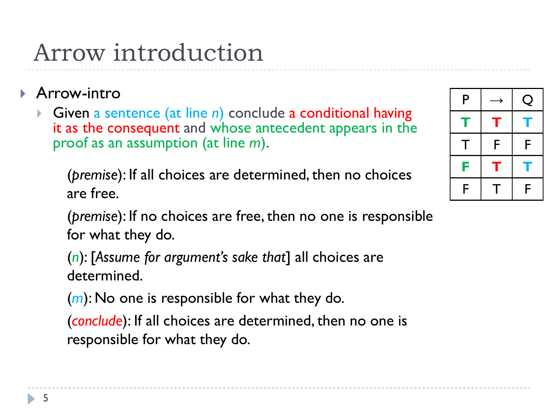### Arrow introduction

- **Arrow-intro** 
	- Given a sentence (at line *n*) conclude a conditional having it as the consequent and whose antecedent appears in the proof as an assumption (at line *m*).

(*premise*): If all choices are determined, then no choices are free.

(*premise*): If no choices are free, then no one is responsible for what they do.

(*n*): [*Assume for argument's sake that*] all choices are determined.

(*m*): No one is responsible for what they do.

(*conclude*): If all choices are determined, then no one is responsible for what they do.

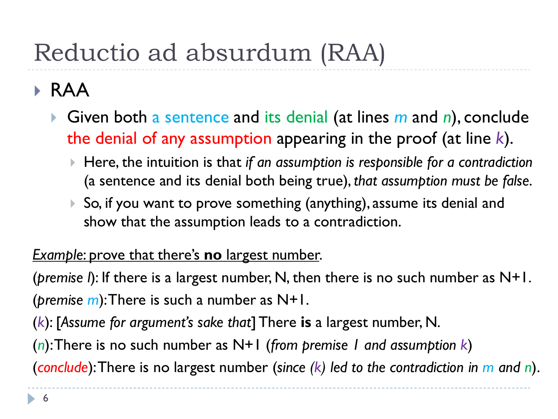# Reductio ad absurdum (RAA)

### RAA

- Given both a sentence and its denial (at lines *m* and *n*), conclude the denial of any assumption appearing in the proof (at line *k*).
	- Here, the intuition is that *if an assumption is responsible for a contradiction* (a sentence and its denial both being true), *that assumption must be false*.
	- ▶ So, if you want to prove something (anything), assume its denial and show that the assumption leads to a contradiction.

#### *Example*: prove that there's **no** largest number.

(*premise l*): If there is a largest number, N, then there is no such number as N+1. (*premise m*): There is such a number as N+1.

(*k*): [*Assume for argument's sake that*] There **is** a largest number, N.

(*n*): There is no such number as N+1 (*from premise 1 and assumption k*)

(*conclude*): There is no largest number (*since (k) led to the contradiction in m and n*).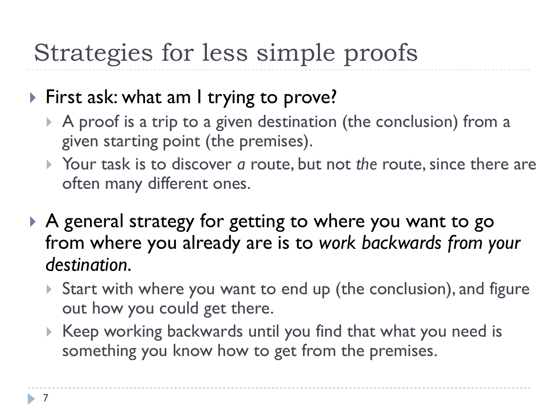## Strategies for less simple proofs

### First ask: what am I trying to prove?

- A proof is a trip to a given destination (the conclusion) from a given starting point (the premises).
- Your task is to discover *a* route, but not *the* route, since there are often many different ones.
- A general strategy for getting to where you want to go from where you already are is to *work backwards from your destination*.
	- ▶ Start with where you want to end up (the conclusion), and figure out how you could get there.
	- Keep working backwards until you find that what you need is something you know how to get from the premises.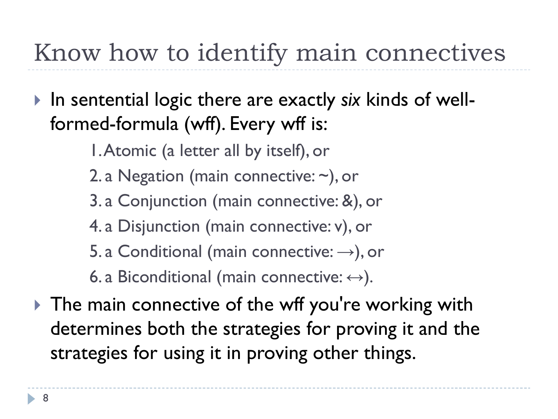## Know how to identify main connectives

- In sentential logic there are exactly *six* kinds of wellformed-formula (wff). Every wff is:
	- 1. Atomic (a letter all by itself), or
	- 2. a Negation (main connective: ~), or
	- 3. a Conjunction (main connective: &), or
	- 4. a Disjunction (main connective: v), or
	- 5. a Conditional (main connective:  $\rightarrow$ ), or
	- 6. a Biconditional (main connective:  $\leftrightarrow$ ).
- If The main connective of the wff you're working with determines both the strategies for proving it and the strategies for using it in proving other things.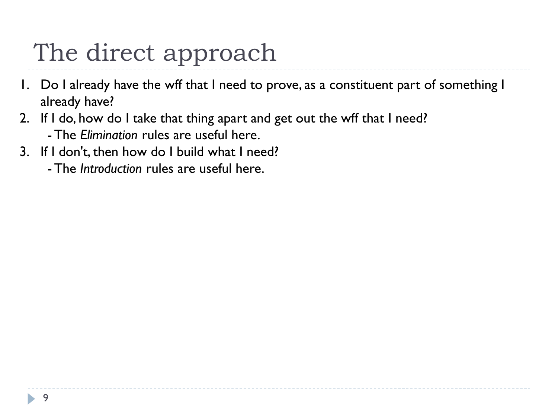# The direct approach

- 1. Do I already have the wff that I need to prove, as a constituent part of something I already have?
- 2. If I do, how do I take that thing apart and get out the wff that I need? - The *Elimination* rules are useful here.
- 3. If I don't, then how do I build what I need?
	- The *Introduction* rules are useful here.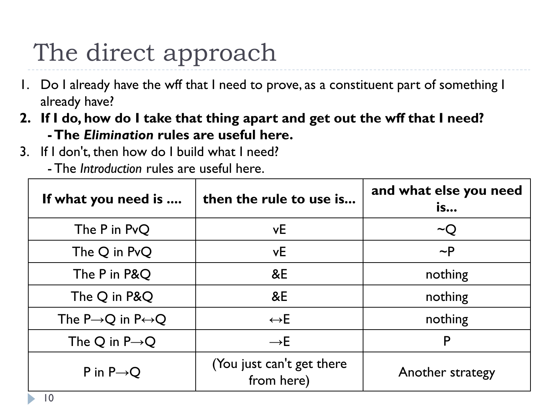# The direct approach

- 1. Do I already have the wff that I need to prove, as a constituent part of something I already have?
- **2. If I do, how do I take that thing apart and get out the wff that I need? -The** *Elimination* **rules are useful here.**
- 3. If I don't, then how do I build what I need?
	- The *Introduction* rules are useful here.

| If what you need is                            | then the rule to use is                 | and what else you need<br><b>is</b> |
|------------------------------------------------|-----------------------------------------|-------------------------------------|
| The P in PvQ                                   | vE                                      | $\sim Q$                            |
| The Q in PvQ                                   | vE                                      | $\sim P$                            |
| The P in P&Q                                   | &E                                      | nothing                             |
| The Q in P&Q                                   | &E                                      | nothing                             |
| The P $\rightarrow$ Q in P $\leftrightarrow$ Q | $\leftrightarrow$ E                     | nothing                             |
| The Q in $P\rightarrow Q$                      | $\rightarrow$ E                         | P                                   |
| P in $P \rightarrow Q$                         | (You just can't get there<br>from here) | Another strategy                    |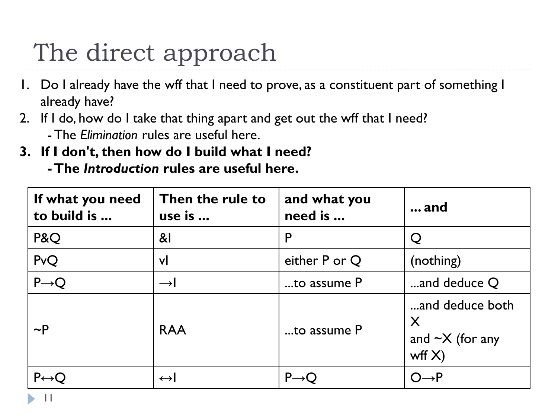# The direct approach

- 1. Do I already have the wff that I need to prove, as a constituent part of something I already have?
- 2. If I do, how do I take that thing apart and get out the wff that I need? - The *Elimination* rules are useful here.
- **3. If I don't, then how do I build what I need?**
	- **-The** *Introduction* **rules are useful here.**

| If what you need<br>to build is | Then the rule to<br>use is | and what you<br>need is | $\ldots$ and                                               |
|---------------------------------|----------------------------|-------------------------|------------------------------------------------------------|
| P&Q                             | $\mathsf{R}$               | P                       |                                                            |
| PvQ                             | vl                         | either P or Q           | (nothing)                                                  |
| $P\rightarrow Q$                | $\rightarrow$              | to assume P             | and deduce Q                                               |
| $\sim P$                        | <b>RAA</b>                 | to assume P             | and deduce both<br>X<br>and $\sim$ X (for any<br>wff $X$ ) |
| $P \leftrightarrow Q$           | $\leftrightarrow$          | $P\rightarrow Q$        | $O{\rightarrow}P$                                          |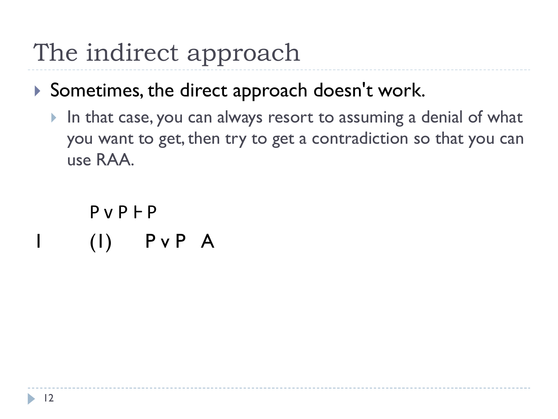# The indirect approach

- Sometimes, the direct approach doesn't work.
	- In that case, you can always resort to assuming a denial of what you want to get, then try to get a contradiction so that you can use RAA.

 $P V P F P$  $(1)$  P v P A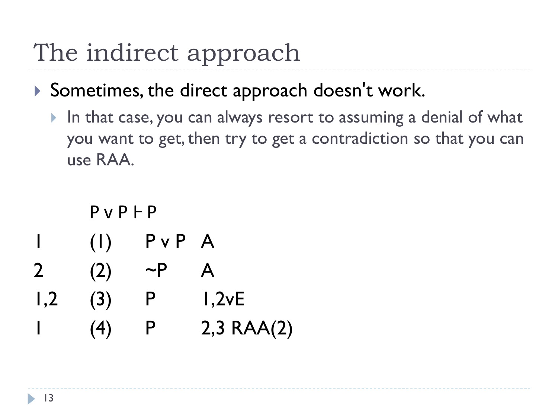## The indirect approach

- Sometimes, the direct approach doesn't work.
	- In that case, you can always resort to assuming a denial of what you want to get, then try to get a contradiction so that you can use RAA.

|              | P V P F P |              |                 |
|--------------|-----------|--------------|-----------------|
| I            | (1)       | $P \vee P$ A |                 |
| $\mathbf{2}$ | (2)       | $\sim$ P     | A               |
| 1,2          | (3)       | P            | 1,2vE           |
|              | (4)       | P            | $2,3$ RAA $(2)$ |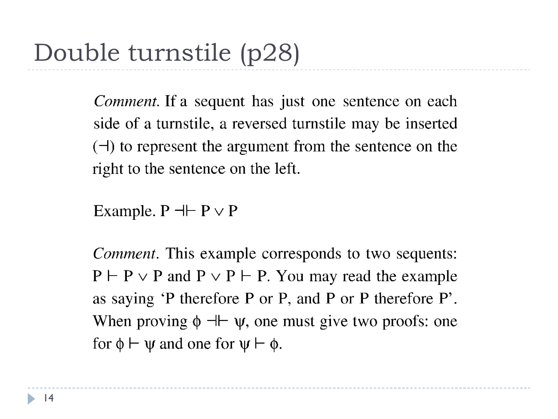*Comment.* If a sequent has just one sentence on each side of a turnstile, a reversed turnstile may be inserted  $(\neg)$  to represent the argument from the sentence on the right to the sentence on the left.

Example.  $P \dashv\vdash P \lor P$ 

*Comment*. This example corresponds to two sequents:  $P \vdash P \lor P$  and  $P \lor P \vdash P$ . You may read the example as saying 'P therefore P or P, and P or P therefore P'. When proving  $\phi \dashv \vdash \psi$ , one must give two proofs: one for  $\phi \vdash \psi$  and one for  $\psi \vdash \phi$ .